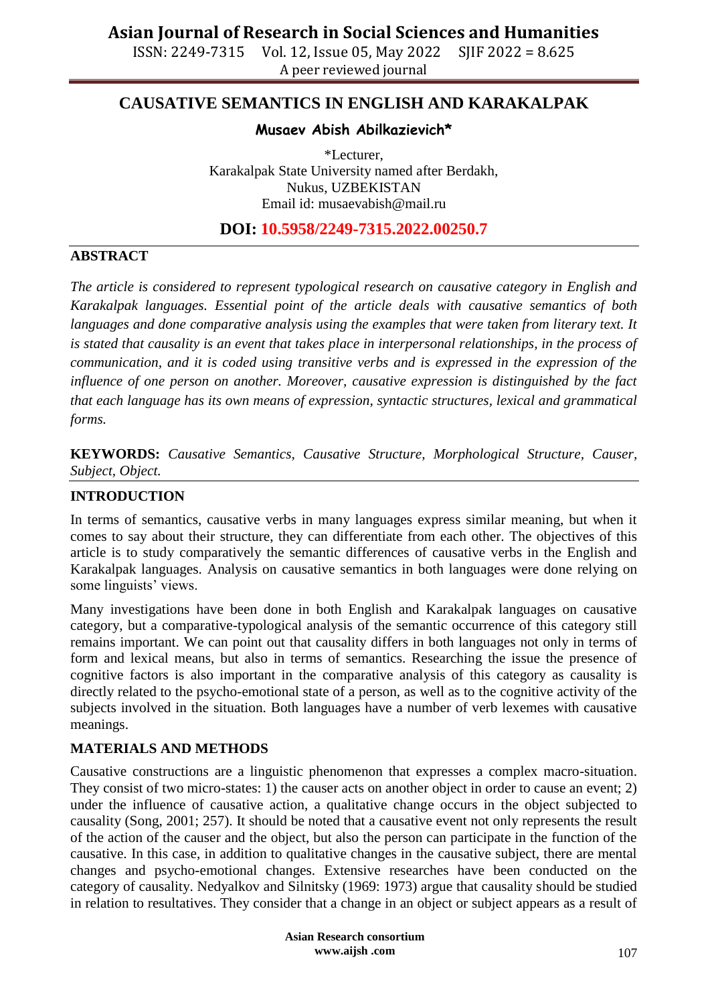ISSN: 2249-7315 Vol. 12, Issue 05, May 2022 SJIF 2022 = 8.625 A peer reviewed journal

### **CAUSATIVE SEMANTICS IN ENGLISH AND KARAKALPAK**

### **Musaev Abish Abilkazievich\***

\*Lecturer, Karakalpak State University named after Berdakh, Nukus, UZBEKISTAN Email id: [musaevabish@mail.ru](mailto:musaevabish@mail.ru)

### **DOI: 10.5958/2249-7315.2022.00250.7**

#### **ABSTRACT**

*The article is considered to represent typological research on causative category in English and Karakalpak languages. Essential point of the article deals with causative semantics of both*  languages and done comparative analysis using the examples that were taken from literary text. It *is stated that causality is an event that takes place in interpersonal relationships, in the process of communication, and it is coded using transitive verbs and is expressed in the expression of the influence of one person on another. Moreover, causative expression is distinguished by the fact that each language has its own means of expression, syntactic structures, lexical and grammatical forms.*

**KEYWORDS:** *Causative Semantics, Causative Structure, Morphological Structure, Causer, Subject, Object.*

### **INTRODUCTION**

In terms of semantics, causative verbs in many languages express similar meaning, but when it comes to say about their structure, they can differentiate from each other. The objectives of this article is to study comparatively the semantic differences of causative verbs in the English and Karakalpak languages. Analysis on causative semantics in both languages were done relying on some linguists' views.

Many investigations have been done in both English and Karakalpak languages on causative category, but a comparative-typological analysis of the semantic occurrence of this category still remains important. We can point out that causality differs in both languages not only in terms of form and lexical means, but also in terms of semantics. Researching the issue the presence of cognitive factors is also important in the comparative analysis of this category as causality is directly related to the psycho-emotional state of a person, as well as to the cognitive activity of the subjects involved in the situation. Both languages have a number of verb lexemes with causative meanings.

### **MATERIALS AND METHODS**

Causative constructions are a linguistic phenomenon that expresses a complex macro-situation. They consist of two micro-states: 1) the causer acts on another object in order to cause an event; 2) under the influence of causative action, a qualitative change occurs in the object subjected to causality (Song, 2001; 257). It should be noted that a causative event not only represents the result of the action of the causer and the object, but also the person can participate in the function of the causative. In this case, in addition to qualitative changes in the causative subject, there are mental changes and psycho-emotional changes. Extensive researches have been conducted on the category of causality. Nedyalkov and Silnitsky (1969: 1973) argue that causality should be studied in relation to resultatives. They consider that a change in an object or subject appears as a result of

> **Asian Research consortium www.aijsh .com**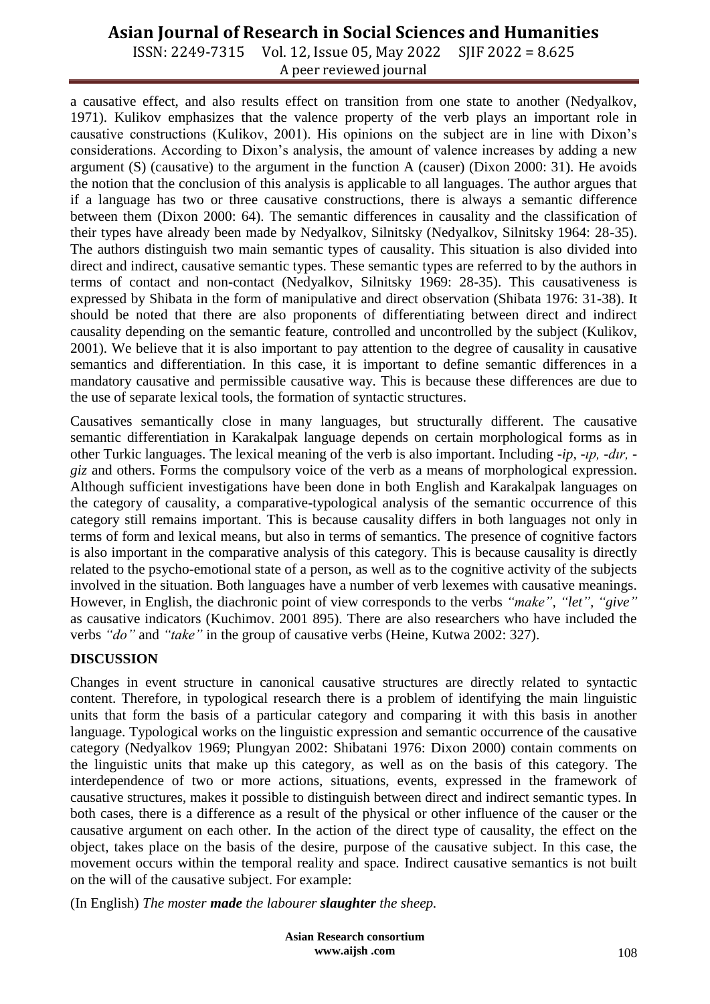ISSN: 2249-7315 Vol. 12, Issue 05, May 2022 SJIF 2022 = 8.625 A peer reviewed journal

a causative effect, and also results effect on transition from one state to another (Nedyalkov, 1971). Kulikov emphasizes that the valence property of the verb plays an important role in causative constructions (Kulikov, 2001). His opinions on the subject are in line with Dixon's considerations. According to Dixon's analysis, the amount of valence increases by adding a new argument (S) (causative) to the argument in the function A (causer) (Dixon 2000: 31). He avoids the notion that the conclusion of this analysis is applicable to all languages. The author argues that if a language has two or three causative constructions, there is always a semantic difference between them (Dixon 2000: 64). The semantic differences in causality and the classification of their types have already been made by Nedyalkov, Silnitsky (Nedyalkov, Silnitsky 1964: 28-35). The authors distinguish two main semantic types of causality. This situation is also divided into direct and indirect, causative semantic types. These semantic types are referred to by the authors in terms of contact and non-contact (Nedyalkov, Silnitsky 1969: 28-35). This causativeness is expressed by Shibata in the form of manipulative and direct observation (Shibata 1976: 31-38). It should be noted that there are also proponents of differentiating between direct and indirect causality depending on the semantic feature, controlled and uncontrolled by the subject (Kulikov, 2001). We believe that it is also important to pay attention to the degree of causality in causative semantics and differentiation. In this case, it is important to define semantic differences in a mandatory causative and permissible causative way. This is because these differences are due to the use of separate lexical tools, the formation of syntactic structures.

Causatives semantically close in many languages, but structurally different. The causative semantic differentiation in Karakalpak language depends on certain morphological forms as in other Turkic languages. The lexical meaning of the verb is also important. Including *-ip, -ıp, -dır, giz* and others. Forms the compulsory voice of the verb as a means of morphological expression. Although sufficient investigations have been done in both English and Karakalpak languages on the category of causality, a comparative-typological analysis of the semantic occurrence of this category still remains important. This is because causality differs in both languages not only in terms of form and lexical means, but also in terms of semantics. The presence of cognitive factors is also important in the comparative analysis of this category. This is because causality is directly related to the psycho-emotional state of a person, as well as to the cognitive activity of the subjects involved in the situation. Both languages have a number of verb lexemes with causative meanings. However, in English, the diachronic point of view corresponds to the verbs *"make", "let", "give"* as causative indicators (Kuchimov. 2001 895). There are also researchers who have included the verbs *"do*" and *"take*" in the group of causative verbs (Heine, Kutwa 2002: 327).

#### **DISCUSSION**

Changes in event structure in canonical causative structures are directly related to syntactic content. Therefore, in typological research there is a problem of identifying the main linguistic units that form the basis of a particular category and comparing it with this basis in another language. Typological works on the linguistic expression and semantic occurrence of the causative category (Nedyalkov 1969; Plungyan 2002: Shibatani 1976: Dixon 2000) contain comments on the linguistic units that make up this category, as well as on the basis of this category. The interdependence of two or more actions, situations, events, expressed in the framework of causative structures, makes it possible to distinguish between direct and indirect semantic types. In both cases, there is a difference as a result of the physical or other influence of the causer or the causative argument on each other. In the action of the direct type of causality, the effect on the object, takes place on the basis of the desire, purpose of the causative subject. In this case, the movement occurs within the temporal reality and space. Indirect causative semantics is not built on the will of the causative subject. For example:

(In English) *The moster made the labourer slaughter the sheep.*

**Asian Research consortium www.aijsh .com**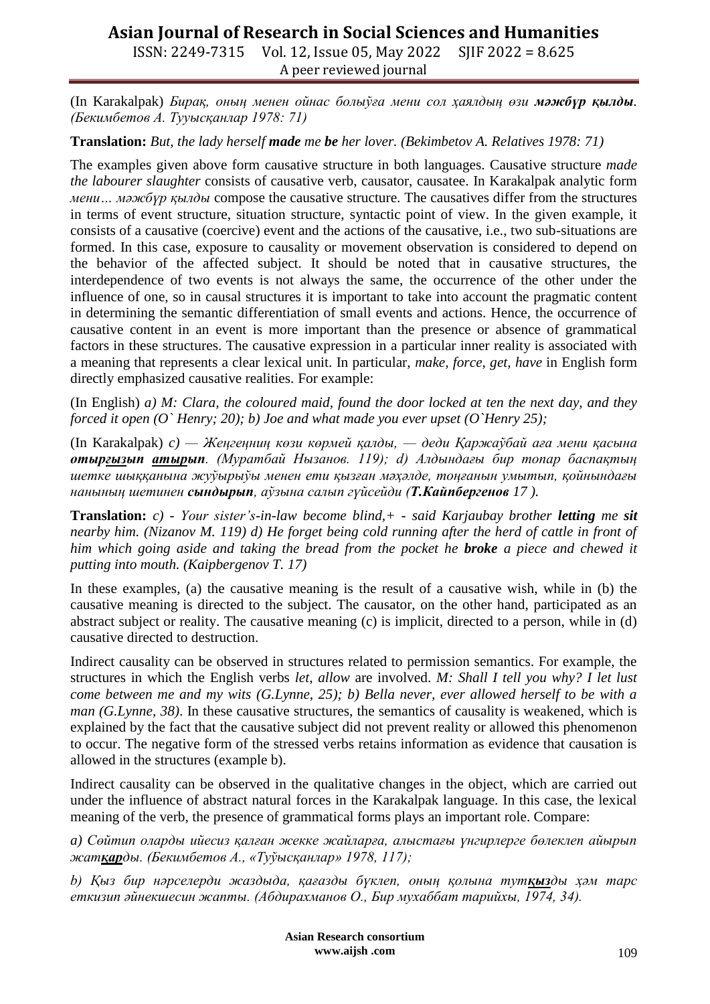ISSN: 2249-7315 Vol. 12, Issue 05, May 2022 SJIF 2022 = 8.625 A peer reviewed journal

(In Karakalpak) *Бирақ, оның менен ойнас болыўға мени сол ҳаялдың өзи мәжбүр қылды. (Бекимбетов А. Тууысқанлар 1978: 71)*

**Translation:** *But, the lady herself made me be her lover. (Bekimbetov A. Relatives 1978: 71)*

The examples given above form causative structure in both languages. Causative structure *made the labourer slaughter* consists of causative verb, causator, causatee. In Karakalpak analytic form *мени… мәжбүр қылды* compose the causative structure. The causatives differ from the structures in terms of event structure, situation structure, syntactic point of view. In the given example, it consists of a causative (coercive) event and the actions of the causative, i.e., two sub-situations are formed. In this case, exposure to causality or movement observation is considered to depend on the behavior of the affected subject. It should be noted that in causative structures, the interdependence of two events is not always the same, the occurrence of the other under the influence of one, so in causal structures it is important to take into account the pragmatic content in determining the semantic differentiation of small events and actions. Hence, the occurrence of causative content in an event is more important than the presence or absence of grammatical factors in these structures. The causative expression in a particular inner reality is associated with a meaning that represents a clear lexical unit. In particular, *make, force, get, have* in English form directly emphasized causative realities. For example:

(In English) *a) M: Clara, the coloured maid, found the door locked at ten the next day, and they forced it open (O` Henry; 20); b) Joe and what made you ever upset (O`Henry 25);*

(In Karakalpak) *c) — Жеңгеңниң көзи көрмей қалды, — деди Қаржаўбай аға мени қасына отырғызып атырып. (Муратбай Нызанов. 119); d) Алдындағы бир топар баспақтың шетке шыққанына жуўырыўы менен ети қызған мәҳәлде, тоңғанын умытып, қойнындағы нанының шетинен сындырып, аўзына салып гүйсейди (Т.Кайпбергенов 17 ).*

**Translation:** *c) - Your sister's-in-law become blind,+ - said Karjaubay brother letting me sit nearby him. (Nizanov M. 119) d) He forget being cold running after the herd of cattle in front of him which going aside and taking the bread from the pocket he broke a piece and chewed it putting into mouth. (Kaipbergenov T. 17)*

In these examples, (a) the causative meaning is the result of a causative wish, while in (b) the causative meaning is directed to the subject. The causator, on the other hand, participated as an abstract subject or reality. The causative meaning (c) is implicit, directed to a person, while in (d) causative directed to destruction.

Indirect causality can be observed in structures related to permission semantics. For example, the structures in which the English verbs *let, allow* are involved. *M: Shall I tell you why? I let lust come between me and my wits (G.Lynne, 25); b) Bella never, ever allowed herself to be with a man (G.Lynne, 38)*. In these causative structures, the semantics of causality is weakened, which is explained by the fact that the causative subject did not prevent reality or allowed this phenomenon to occur. The negative form of the stressed verbs retains information as evidence that causation is allowed in the structures (example b).

Indirect causality can be observed in the qualitative changes in the object, which are carried out under the influence of abstract natural forces in the Karakalpak language. In this case, the lexical meaning of the verb, the presence of grammatical forms plays an important role. Compare:

*a) Сөйтип оларды ийесиз қалған жекке жайларға, алыстағы үнгирлерге бөлеклеп айырып жатқарды. (Бекимбетов А., «Туўысқанлар» 1978, 117);*

*b) Қыз бир нәрселерди жаздыда, қағазды бүклеп, оның қолына тутқызды ҳәм тарс еткизип әйнекшесин жапты. (Абдирахманов О., Бир мухаббат тарийхы, 1974, 34).*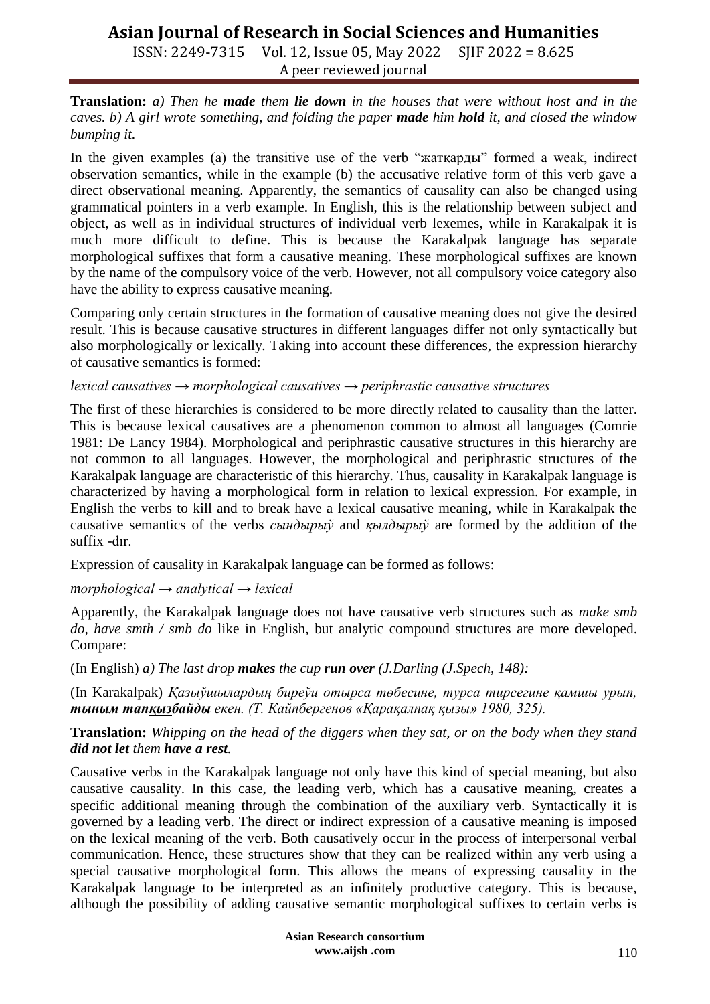ISSN: 2249-7315 Vol. 12, Issue 05, May 2022 SJIF 2022 = 8.625 A peer reviewed journal

**Translation:** *a) Then he made them lie down in the houses that were without host and in the caves. b) A girl wrote something, and folding the paper made him hold it, and closed the window bumping it.*

In the given examples (a) the transitive use of the verb "жатқарды" formed a weak, indirect observation semantics, while in the example (b) the accusative relative form of this verb gave a direct observational meaning. Apparently, the semantics of causality can also be changed using grammatical pointers in a verb example. In English, this is the relationship between subject and object, as well as in individual structures of individual verb lexemes, while in Karakalpak it is much more difficult to define. This is because the Karakalpak language has separate morphological suffixes that form a causative meaning. These morphological suffixes are known by the name of the compulsory voice of the verb. However, not all compulsory voice category also have the ability to express causative meaning.

Comparing only certain structures in the formation of causative meaning does not give the desired result. This is because causative structures in different languages differ not only syntactically but also morphologically or lexically. Taking into account these differences, the expression hierarchy of causative semantics is formed:

#### *lexical causatives → morphological causatives → periphrastic causative structures*

The first of these hierarchies is considered to be more directly related to causality than the latter. This is because lexical causatives are a phenomenon common to almost all languages (Comrie 1981: De Lancy 1984). Morphological and periphrastic causative structures in this hierarchy are not common to all languages. However, the morphological and periphrastic structures of the Karakalpak language are characteristic of this hierarchy. Thus, causality in Karakalpak language is characterized by having a morphological form in relation to lexical expression. For example, in English the verbs to kill and to break have a lexical causative meaning, while in Karakalpak the causative semantics of the verbs *сындырыў* and *қылдырыў* are formed by the addition of the suffix -dır.

Expression of causality in Karakalpak language can be formed as follows:

#### *morphological → analytical → lexical*

Apparently, the Karakalpak language does not have causative verb structures such as *make smb do, have smth / smb do* like in English, but analytic compound structures are more developed. Compare:

(In English) *a) The last drop makes the cup run over (J.Darling (J.Spech, 148):* 

(In Karakalpak) *Қазыўшылардың биреўи отырса төбесине, турса тирсегине қамшы урып, тыным тапқызбайды екен. (Т. Кайпбергенов «Қарақалпақ қызы» 1980, 325).*

**Translation:** *Whipping on the head of the diggers when they sat, or on the body when they stand did not let them have a rest.*

Causative verbs in the Karakalpak language not only have this kind of special meaning, but also causative causality. In this case, the leading verb, which has a causative meaning, creates a specific additional meaning through the combination of the auxiliary verb. Syntactically it is governed by a leading verb. The direct or indirect expression of a causative meaning is imposed on the lexical meaning of the verb. Both causatively occur in the process of interpersonal verbal communication. Hence, these structures show that they can be realized within any verb using a special causative morphological form. This allows the means of expressing causality in the Karakalpak language to be interpreted as an infinitely productive category. This is because, although the possibility of adding causative semantic morphological suffixes to certain verbs is

> **Asian Research consortium www.aijsh .com**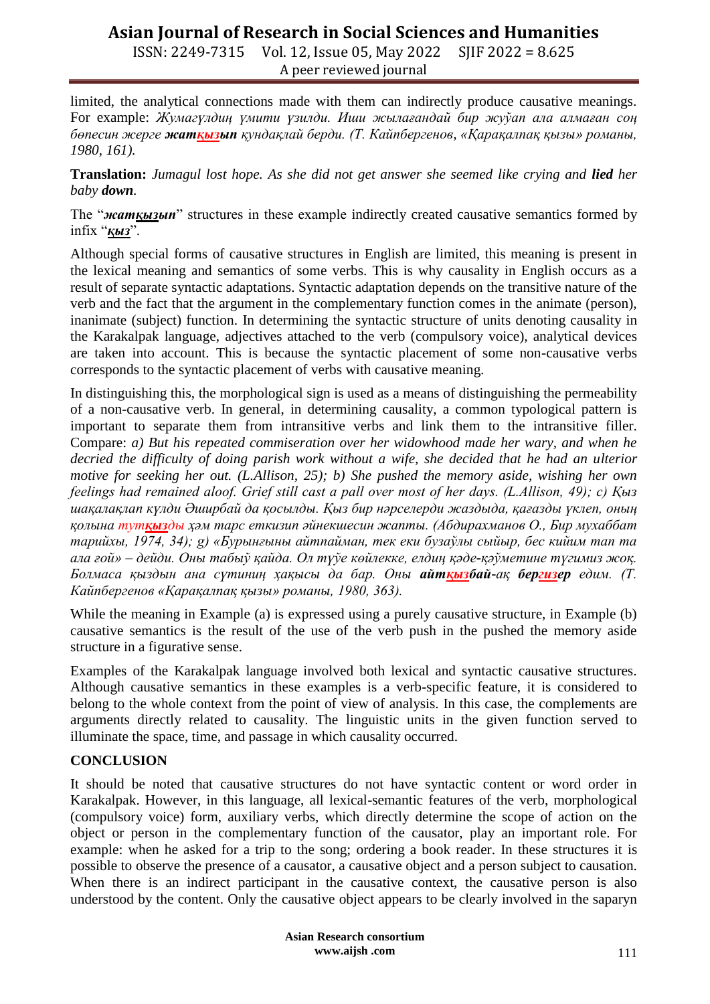ISSN: 2249-7315 Vol. 12, Issue 05, May 2022 SJIF 2022 = 8.625 A peer reviewed journal

limited, the analytical connections made with them can indirectly produce causative meanings. For example: *Жумагүлдиң үмити үзилди. Иши жылағандай бир жуўап ала алмаған соң бөпесин жерге жатқызып қундақлай берди. (Т. Кайпбергенов, «Қарақалпақ қызы» романы, 1980, 161).* 

**Translation:** *Jumagul lost hope. As she did not get answer she seemed like crying and lied her baby down.*

The "*жатқызып*" structures in these example indirectly created causative semantics formed by infix "*қыз*".

Although special forms of causative structures in English are limited, this meaning is present in the lexical meaning and semantics of some verbs. This is why causality in English occurs as a result of separate syntactic adaptations. Syntactic adaptation depends on the transitive nature of the verb and the fact that the argument in the complementary function comes in the animate (person), inanimate (subject) function. In determining the syntactic structure of units denoting causality in the Karakalpak language, adjectives attached to the verb (compulsory voice), analytical devices are taken into account. This is because the syntactic placement of some non-causative verbs corresponds to the syntactic placement of verbs with causative meaning.

In distinguishing this, the morphological sign is used as a means of distinguishing the permeability of a non-causative verb. In general, in determining causality, a common typological pattern is important to separate them from intransitive verbs and link them to the intransitive filler. Compare: *a) But his repeated commiseration over her widowhood made her wary, and when he decried the difficulty of doing parish work without a wife, she decided that he had an ulterior motive for seeking her out. (L.Allison, 25); b) She pushed the memory aside, wishing her own feelings had remained aloof. Grief still cast a pall over most of her days. (L.Allison, 49); c) Қыз шақалақлап күлди Әширбай да қосылды. Қыз бир нәрселерди жаздыда, қағазды үклеп, оның қолына тутқызды ҳәм тарс еткизип әйнекшесин жапты. (Абдирахманов О., Бир мухаббат тарийхы, 1974, 34); g) «Бурынғыны айтпайман, тек еки бузаўлы сыйыр, бес кийим тап та ала ғой» – дейди. Оны табыў қайда. Ол түўе көйлекке, елдиң қәде-қәўметине түгимиз жоқ. Болмаса қыздын ана сүтиниң ҳақысы да бар. Оны айтқызбай-ақ бергизер едим. (Т. Кайпбергенов «Қарақалпақ қызы» романы, 1980, 363).*

While the meaning in Example (a) is expressed using a purely causative structure, in Example (b) causative semantics is the result of the use of the verb push in the pushed the memory aside structure in a figurative sense.

Examples of the Karakalpak language involved both lexical and syntactic causative structures. Although causative semantics in these examples is a verb-specific feature, it is considered to belong to the whole context from the point of view of analysis. In this case, the complements are arguments directly related to causality. The linguistic units in the given function served to illuminate the space, time, and passage in which causality occurred.

#### **CONCLUSION**

It should be noted that causative structures do not have syntactic content or word order in Karakalpak. However, in this language, all lexical-semantic features of the verb, morphological (compulsory voice) form, auxiliary verbs, which directly determine the scope of action on the object or person in the complementary function of the causator, play an important role. For example: when he asked for a trip to the song; ordering a book reader. In these structures it is possible to observe the presence of a causator, a causative object and a person subject to causation. When there is an indirect participant in the causative context, the causative person is also understood by the content. Only the causative object appears to be clearly involved in the saparyn